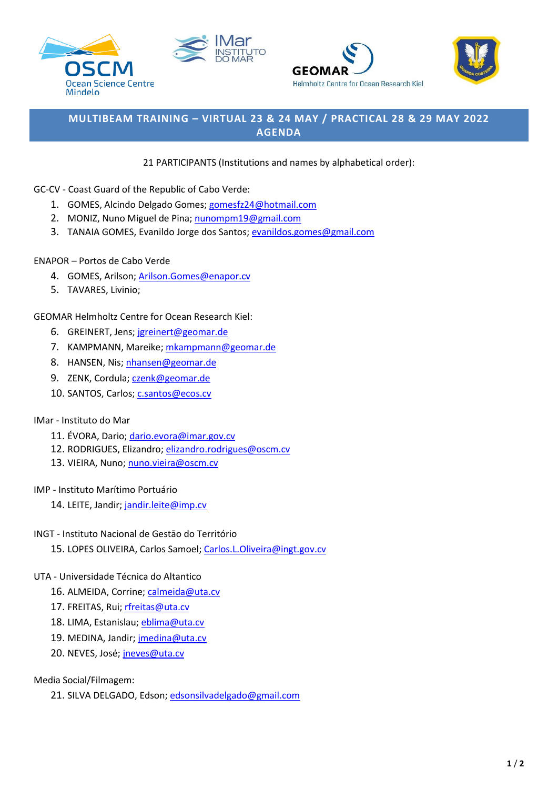







# **MULTIBEAM TRAINING – VIRTUAL 23 & 24 MAY / PRACTICAL 28 & 29 MAY 2022 AGENDA**

### 21 PARTICIPANTS (Institutions and names by alphabetical order):

### GC-CV - Coast Guard of the Republic of Cabo Verde:

- 1. GOMES, Alcindo Delgado Gomes; [gomesfz24@hotmail.com](mailto:gomesfz24@hotmail.com)
- 2. MONIZ, Nuno Miguel de Pina[; nunompm19@gmail.com](mailto:nunompm19@gmail.com)
- 3. TANAIA GOMES, Evanildo Jorge dos Santos[; evanildos.gomes@gmail.com](mailto:evanildos.gomes@gmail.com)

### ENAPOR – Portos de Cabo Verde

- 4. GOMES, Arilson; [Arilson.Gomes@enapor.cv](mailto:Arilson.Gomes@enapor.cv)
- 5. TAVARES, Livinio;

GEOMAR Helmholtz Centre for Ocean Research Kiel:

- 6. GREINERT, Jens[; jgreinert@geomar.de](mailto:jgreinert@geomar.de)
- 7. KAMPMANN, Mareike; [mkampmann@geomar.de](mailto:mkampmann@geomar.de)
- 8. HANSEN, Nis; [nhansen@geomar.de](mailto:nhansen@geomar.de)
- 9. ZENK, Cordula; [czenk@geomar.de](mailto:czenk@geomar.de)
- 10. SANTOS, Carlos[; c.santos@ecos.cv](mailto:c.santos@ecos.cv)

### IMar - Instituto do Mar

- 11. ÉVORA, Dario; [dario.evora@imar.gov.cv](mailto:dario.evora@imar.gov.cv)
- 12. RODRIGUES, Elizandro; [elizandro.rodrigues@oscm.cv](mailto:elizandro.rodrigues@oscm.cv)
- 13. VIEIRA, Nuno[; nuno.vieira@oscm.cv](mailto:nuno.vieira@oscm.cv)

### IMP - Instituto Marítimo Portuário

14. LEITE, Jandir; [jandir.leite@imp.cv](mailto:jandir.leite@imp.cv)

### INGT - Instituto Nacional de Gestāo do Território

15. LOPES OLIVEIRA, Carlos Samoel[; Carlos.L.Oliveira@ingt.gov.cv](mailto:Carlos.L.Oliveira@ingt.gov.cv)

### UTA - Universidade Técnica do Altantico

- 16. ALMEIDA, Corrine[; calmeida@uta.cv](mailto:calmeida@uta.cv)
- 17. FREITAS, Rui; [rfreitas@uta.cv](mailto:rfreitas@uta.cv)
- 18. LIMA, Estanislau[; eblima@uta.cv](mailto:eblima@uta.cv)
- 19. MEDINA, Jandir; [jmedina@uta.cv](mailto:jmedina@uta.cv)
- 20. NEVES, José; [jneves@uta.cv](mailto:jneves@uta.cv)

Media Social/Filmagem:

21. SILVA DELGADO, Edson; [edsonsilvadelgado@gmail.com](mailto:edsonsilvadelgado@gmail.com)